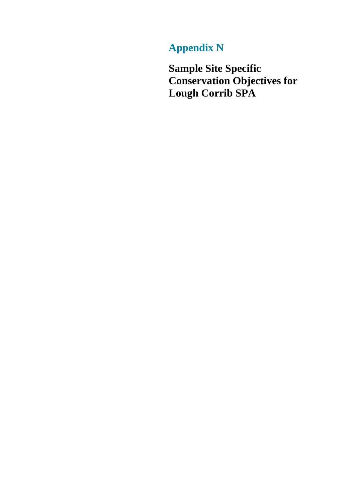# **Appendix N**

**Sample Site Specific Conservation Objectives for Lough Corrib SPA**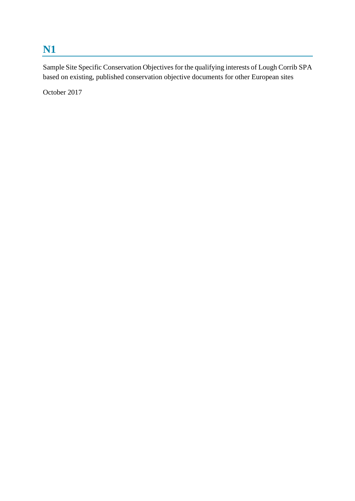# **N1**

Sample Site Specific Conservation Objectives for the qualifying interests of Lough Corrib SPA based on existing, published conservation objective documents for other European sites

October 2017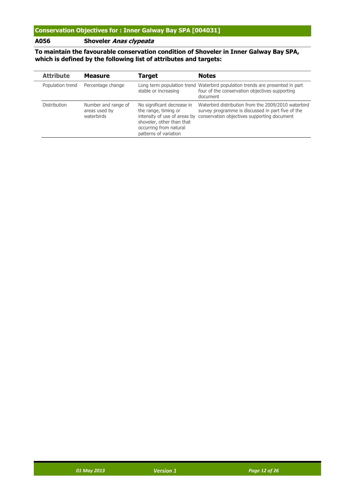#### **A056 Shoveler Anas clypeata**

### **To maintain the favourable conservation condition of Shoveler in Inner Galway Bay SPA, which is defined by the following list of attributes and targets:**

| <b>Attribute</b> | <b>Measure</b>                                     | Target                                                                                                                                                             | <b>Notes</b>                                                                                                                                            |
|------------------|----------------------------------------------------|--------------------------------------------------------------------------------------------------------------------------------------------------------------------|---------------------------------------------------------------------------------------------------------------------------------------------------------|
| Population trend | Percentage change                                  | stable or increasing                                                                                                                                               | Long term population trend Waterbird population trends are presented in part<br>four of the conservation objectives supporting<br>document              |
| Distribution     | Number and range of<br>areas used by<br>waterbirds | No significant decrease in<br>the range, timing or<br>intensity of use of areas by<br>shoveler, other than that<br>occurring from natural<br>patterns of variation | Waterbird distribution from the 2009/2010 waterbird<br>survey programme is discussed in part five of the<br>conservation objectives supporting document |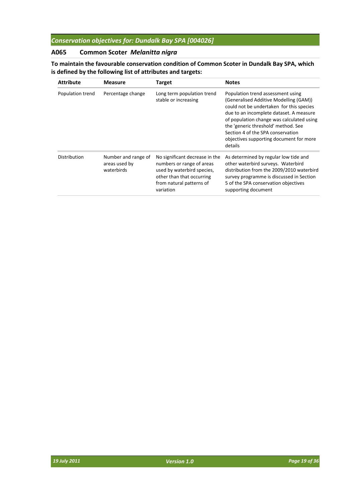## *Conservation objectives for: Dundalk Bay SPA [004026]*

## **A065 Common Scoter** *Melanitta nigra*

#### **To maintain the favourable conservation condition of Common Scoter in Dundalk Bay SPA, which is defined by the following list of attributes and targets:**

| <b>Attribute</b> | <b>Measure</b>                                     | <b>Target</b>                                                                                                                                                   | <b>Notes</b>                                                                                                                                                                                                                                                                                                                                      |
|------------------|----------------------------------------------------|-----------------------------------------------------------------------------------------------------------------------------------------------------------------|---------------------------------------------------------------------------------------------------------------------------------------------------------------------------------------------------------------------------------------------------------------------------------------------------------------------------------------------------|
| Population trend | Percentage change                                  | Long term population trend<br>stable or increasing                                                                                                              | Population trend assessment using<br>(Generalised Additive Modelling (GAM))<br>could not be undertaken for this species<br>due to an incomplete dataset. A measure<br>of population change was calculated using<br>the 'generic threshold' method. See<br>Section 4 of the SPA conservation<br>objectives supporting document for more<br>details |
| Distribution     | Number and range of<br>areas used by<br>waterbirds | No significant decrease in the<br>numbers or range of areas<br>used by waterbird species,<br>other than that occurring<br>from natural patterns of<br>variation | As determined by regular low tide and<br>other waterbird surveys. Waterbird<br>distribution from the 2009/2010 waterbird<br>survey programme is discussed in Section<br>5 of the SPA conservation objectives<br>supporting document                                                                                                               |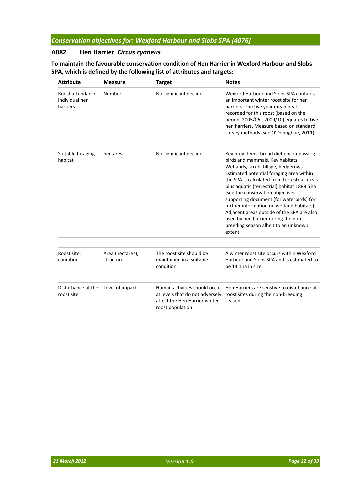## *Conservation objectives for: Wexford Harbour and Slobs SPA [4076]*

#### **A082 Hen Harrier** *Circus cyaneus*

#### **To maintain the favourable conservation condition of Hen Harrier in Wexford Harbour and Slobs SPA, which is defined by the following list of attributes and targets:**

| <b>Attribute</b>                                 | <b>Measure</b>                | <b>Target</b>                                                                        | <b>Notes</b>                                                                                                                                                                                                                                                                                                                                                                                                                                                                                                                       |
|--------------------------------------------------|-------------------------------|--------------------------------------------------------------------------------------|------------------------------------------------------------------------------------------------------------------------------------------------------------------------------------------------------------------------------------------------------------------------------------------------------------------------------------------------------------------------------------------------------------------------------------------------------------------------------------------------------------------------------------|
| Roost attendance:<br>individual hen<br>harriers  | Number                        | No significant decline                                                               | Wexford Harbour and Slobs SPA contains<br>an important winter roost site for hen<br>harriers. The five year mean peak<br>recorded for this roost (based on the<br>period 2005/06 - 2009/10) equates to five<br>hen harriers. Measure based on standard<br>survey methods (see O'Donoghue, 2011)                                                                                                                                                                                                                                    |
| Suitable foraging<br>habitat                     | hectares                      | No significant decline                                                               | Key prey items: broad diet encompassing<br>birds and mammals. Key habitats:<br>Wetlands, scrub, tillage, hedgerows.<br>Estimated potential foraging area within<br>the SPA is calculated from terrestrial areas<br>plus aquatic (terrestrial) habitat 1889.5ha<br>(see the conservation objectives<br>supporting document (for waterbirds) for<br>further information on wetland habitats).<br>Adjacent areas outside of the SPA are also<br>used by hen harrier during the non-<br>breeding season albeit to an unknown<br>extent |
| Roost site:<br>condition                         | Area (hectares);<br>structure | The roost site should be<br>maintained in a suitable<br>condition                    | A winter roost site occurs within Wexford<br>Harbour and Slobs SPA and is estimated to<br>be 14.1ha in size                                                                                                                                                                                                                                                                                                                                                                                                                        |
| Disturbance at the Level of impact<br>roost site |                               | at levels that do not adversely<br>affect the Hen Harrier winter<br>roost population | Human activities should occur Hen Harriers are senstive to distubance at<br>roost sites during the non-breeding<br>season                                                                                                                                                                                                                                                                                                                                                                                                          |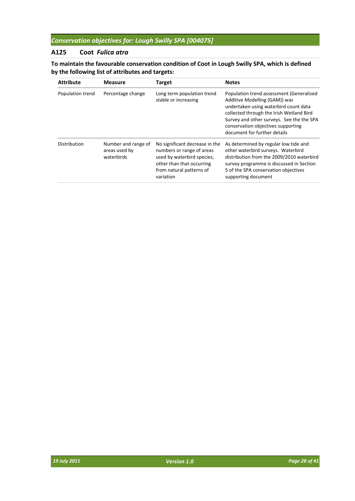## *Conservation objectives for: Lough Swilly SPA [004075]*

#### **A125 Coot** *Fulica atra*

### **To maintain the favourable conservation condition of Coot in Lough Swilly SPA, which is defined by the following list of attributes and targets:**

| <b>Attribute</b> | <b>Measure</b>                                     | <b>Target</b>                                                                                                                                                   | <b>Notes</b>                                                                                                                                                                                                                                                                      |
|------------------|----------------------------------------------------|-----------------------------------------------------------------------------------------------------------------------------------------------------------------|-----------------------------------------------------------------------------------------------------------------------------------------------------------------------------------------------------------------------------------------------------------------------------------|
| Population trend | Percentage change                                  | Long term population trend<br>stable or increasing                                                                                                              | Population trend assessment (Generalised<br>Additive Modelling (GAM)) was<br>undertaken using waterbird count data<br>collected through the Irish Wetland Bird<br>Survey and other surveys. See the the SPA<br>conservation objectives supporting<br>document for further details |
| Distribution     | Number and range of<br>areas used by<br>waterbirds | No significant decrease in the<br>numbers or range of areas<br>used by waterbird species,<br>other than that occurring<br>from natural patterns of<br>variation | As determined by regular low tide and<br>other waterbird surveys. Waterbird<br>distribution from the 2009/2010 waterbird<br>survey programme is discussed in Section<br>5 of the SPA conservation objectives<br>supporting document                                               |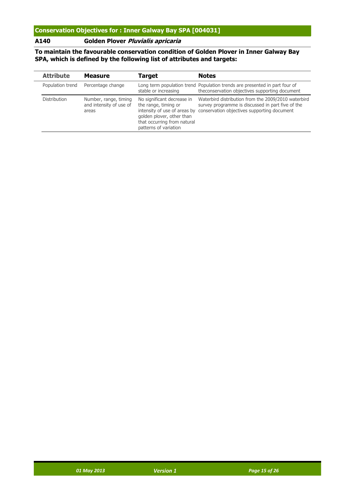#### **A140 Golden Plover Pluvialis apricaria**

i.

#### **To maintain the favourable conservation condition of Golden Plover in Inner Galway Bay SPA, which is defined by the following list of attributes and targets:**

| <b>Attribute</b>    | <b>Measure</b>                                            | <b>Target</b>                                                                                                                           | <b>Notes</b>                                                                                                                                                                         |
|---------------------|-----------------------------------------------------------|-----------------------------------------------------------------------------------------------------------------------------------------|--------------------------------------------------------------------------------------------------------------------------------------------------------------------------------------|
| Population trend    | Percentage change                                         | stable or increasing                                                                                                                    | Long term population trend Population trends are presented in part four of<br>the conservation objectives supporting document                                                        |
| <b>Distribution</b> | Number, range, timing<br>and intensity of use of<br>areas | No significant decrease in<br>the range, timing or<br>golden plover, other than<br>that occurring from natural<br>patterns of variation | Waterbird distribution from the 2009/2010 waterbird<br>survey programme is discussed in part five of the<br>intensity of use of areas by conservation objectives supporting document |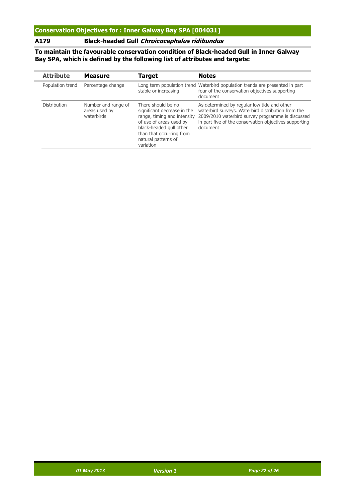#### **A179 Black-headed Gull Chroicocephalus ridibundus**

**To maintain the favourable conservation condition of Black-headed Gull in Inner Galway Bay SPA, which is defined by the following list of attributes and targets:**

| <b>Attribute</b>    | <b>Measure</b>                                     | Target                                                                                                                                                                                                 | <b>Notes</b>                                                                                                                                                                                                                 |
|---------------------|----------------------------------------------------|--------------------------------------------------------------------------------------------------------------------------------------------------------------------------------------------------------|------------------------------------------------------------------------------------------------------------------------------------------------------------------------------------------------------------------------------|
| Population trend    | Percentage change                                  | stable or increasing                                                                                                                                                                                   | Long term population trend Waterbird population trends are presented in part<br>four of the conservation objectives supporting<br>document                                                                                   |
| <b>Distribution</b> | Number and range of<br>areas used by<br>waterbirds | There should be no<br>significant decrease in the<br>range, timing and intensity<br>of use of areas used by<br>black-headed gull other<br>than that occurring from<br>natural patterns of<br>variation | As determined by regular low tide and other<br>waterbird surveys. Waterbird distribution from the<br>2009/2010 waterbird survey programme is discussed<br>in part five of the conservation objectives supporting<br>document |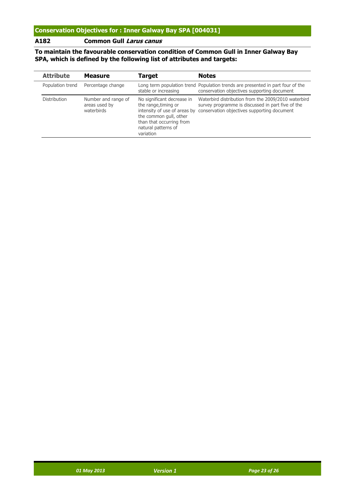#### **A182 Common Gull Larus canus**

í.

#### **To maintain the favourable conservation condition of Common Gull in Inner Galway Bay SPA, which is defined by the following list of attributes and targets:**

| <b>Attribute</b>    | <b>Measure</b>                                     | <b>Target</b>                                                                                                                                                                | <b>Notes</b>                                                                                                                                            |
|---------------------|----------------------------------------------------|------------------------------------------------------------------------------------------------------------------------------------------------------------------------------|---------------------------------------------------------------------------------------------------------------------------------------------------------|
| Population trend    | Percentage change                                  | stable or increasing                                                                                                                                                         | Long term population trend Population trends are presented in part four of the<br>conservation objectives supporting document                           |
| <b>Distribution</b> | Number and range of<br>areas used by<br>waterbirds | No significant decrease in<br>the range, timing or<br>intensity of use of areas by<br>the common gull, other<br>than that occurring from<br>natural patterns of<br>variation | Waterbird distribution from the 2009/2010 waterbird<br>survey programme is discussed in part five of the<br>conservation objectives supporting document |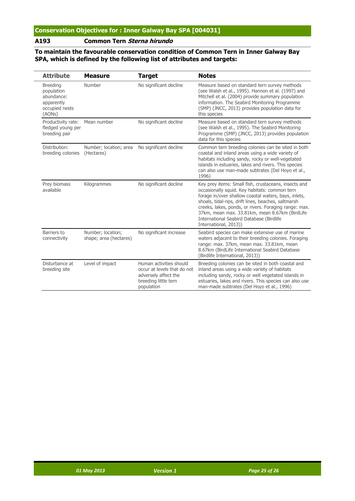#### **A193 Common Tern Sterna hirundo**

#### **To maintain the favourable conservation condition of Common Tern in Inner Galway Bay SPA, which is defined by the following list of attributes and targets:**

| <b>Attribute</b>                                                                      | <b>Measure</b>                              | <b>Target</b>                                                                                                        | <b>Notes</b>                                                                                                                                                                                                                                                                                                                                                                                         |
|---------------------------------------------------------------------------------------|---------------------------------------------|----------------------------------------------------------------------------------------------------------------------|------------------------------------------------------------------------------------------------------------------------------------------------------------------------------------------------------------------------------------------------------------------------------------------------------------------------------------------------------------------------------------------------------|
| <b>Breeding</b><br>population<br>abundance:<br>apparently<br>occupied nests<br>(AONs) | Number                                      | No significant decline                                                                                               | Measure based on standard tern survey methods<br>(see Walsh et al., 1995). Hannon et al. (1997) and<br>Mitchell et al. (2004) provide summary population<br>information. The Seabird Monitoring Programme<br>(SMP) (JNCC, 2013) provides population data for<br>this species                                                                                                                         |
| Productivity rate:<br>fledged young per<br>breeding pair                              | Mean number                                 | No significant decline                                                                                               | Measure based on standard tern survey methods<br>(see Walsh et al., 1995). The Seabird Monitoring<br>Programme (SMP) (JNCC, 2013) provides population<br>data for this species                                                                                                                                                                                                                       |
| Distribution:<br>breeding colonies                                                    | Number; location; area<br>(Hectares)        | No significant decline                                                                                               | Common tern breeding colonies can be sited in both<br>coastal and inland areas using a wide variety of<br>habitats including sandy, rocky or well-vegetated<br>islands in estuaries, lakes and rivers. This species<br>can also use man-made subtrates (Del Hoyo et al.,<br>1996)                                                                                                                    |
| Prey biomass<br>available                                                             | Kilogrammes                                 | No significant decline                                                                                               | Key prey items: Small fish, crustaceans, insects and<br>occasionally squid. Key habitats: common tern<br>forage in/over shallow coastal waters, bays, inlets,<br>shoals, tidal-rips, drift lines, beaches, saltmarsh<br>creeks, lakes, ponds, or rivers. Foraging range: max.<br>37km, mean max. 33.81km, mean 8.67km (BirdLife<br>International Seabird Database (Birdlife<br>International, 2013)) |
| Barriers to<br>connectivity                                                           | Number; location;<br>shape; area (hectares) | No significant increase                                                                                              | Seabird species can make extensive use of marine<br>waters adjacent to their breeding colonies. Foraging<br>range: max. 37km, mean max. 33.81km, mean<br>8.67km (BirdLife International Seabird Database<br>(Birdlife International, 2013))                                                                                                                                                          |
| Disturbance at<br>breeding site                                                       | Level of impact                             | Human activities should<br>occur at levels that do not<br>adversely affect the<br>breeding little tern<br>population | Breeding colonies can be sited in both coastal and<br>inland areas using a wide variety of habitats<br>including sandy, rocky or well vegetated islands in<br>estuaries, lakes and rivers. This species can also use<br>man-made subtrates (Del Hoyo et al., 1996)                                                                                                                                   |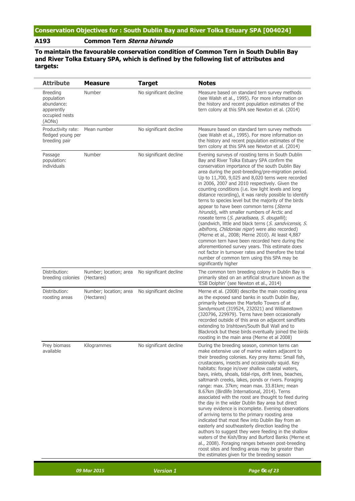#### **Conservation Objectives for : South Dublin Bay and River Tolka Estuary SPA [004024]**

#### **A193 Common Tern Sterna hirundo**

#### **To maintain the favourable conservation condition of Common Tern in South Dublin Bay and River Tolka Estuary SPA, which is defined by the following list of attributes and targets:**

| <b>Attribute</b>                                                                      | <b>Measure</b>                       | <b>Target</b>          | <b>Notes</b>                                                                                                                                                                                                                                                                                                                                                                                                                                                                                                                                                                                                                                                                                                                                                                                                                                                                                                                                                                                                                                                                     |
|---------------------------------------------------------------------------------------|--------------------------------------|------------------------|----------------------------------------------------------------------------------------------------------------------------------------------------------------------------------------------------------------------------------------------------------------------------------------------------------------------------------------------------------------------------------------------------------------------------------------------------------------------------------------------------------------------------------------------------------------------------------------------------------------------------------------------------------------------------------------------------------------------------------------------------------------------------------------------------------------------------------------------------------------------------------------------------------------------------------------------------------------------------------------------------------------------------------------------------------------------------------|
| <b>Breeding</b><br>population<br>abundance:<br>apparently<br>occupied nests<br>(AONs) | Number                               | No significant decline | Measure based on standard tern survey methods<br>(see Walsh et al., 1995). For more information on<br>the history and recent population estimates of the<br>tern colony at this SPA see Newton et al. (2014)                                                                                                                                                                                                                                                                                                                                                                                                                                                                                                                                                                                                                                                                                                                                                                                                                                                                     |
| Productivity rate:<br>fledged young per<br>breeding pair                              | Mean number                          | No significant decline | Measure based on standard tern survey methods<br>(see Walsh et al., 1995). For more information on<br>the history and recent population estimates of the<br>tern colony at this SPA see Newton et al. (2014)                                                                                                                                                                                                                                                                                                                                                                                                                                                                                                                                                                                                                                                                                                                                                                                                                                                                     |
| Passage<br>population:<br>individuals                                                 | Number                               | No significant decline | Evening surveys of roosting terns in South Dublin<br>Bay and River Tolka Estuary SPA confirm the<br>conservation importance of the south Dublin Bay<br>area during the post-breeding/pre-migration period.<br>Up to 11,700, 9,025 and 8,020 terns were recorded<br>in 2006, 2007 and 2010 respectively. Given the<br>counting conditions (i.e. low light levels and long<br>distance recording), it was rarely possible to identify<br>terns to species level but the majority of the birds<br>appear to have been common terns (Sterna<br>hirundo), with smaller numbers of Arctic and<br>roseate terns (S. paradisaea, S. dougallii);<br>(sandwich, little and black terns (S. sandvicensis, S.<br>albifrons, Chlidonias niger) were also recorded)<br>(Merne et al., 2008; Merne 2010). At least 4,887<br>common tern have been recorded here during the<br>aforementioned survey years. This estimate does<br>not factor in turnover rates and therefore the total<br>number of common tern using this SPA may be<br>significantly higher                                    |
| Distribution:<br>breeding colonies                                                    | Number; location; area<br>(Hectares) | No significant decline | The common tern breeding colony in Dublin Bay is<br>primarily sited on an artificial structure known as the<br>'ESB Dolphin' (see Newton et al., 2014)                                                                                                                                                                                                                                                                                                                                                                                                                                                                                                                                                                                                                                                                                                                                                                                                                                                                                                                           |
| Distribution:<br>roosting areas                                                       | Number; location; area<br>(Hectares) | No significant decline | Merne et al. (2008) describe the main roosting area<br>as the exposed sand banks in south Dublin Bay,<br>primarily between the Martello Towers of at<br>Sandymount (319524, 232021) and Williamstown<br>(320796, 229979). Terns have been occasionally<br>recorded outside of this area on adjacent sandflats<br>extending to Irishtown/South Bull Wall and to<br>Blackrock but these birds eventually joined the birds<br>roosting in the main area (Merne et al 2008)                                                                                                                                                                                                                                                                                                                                                                                                                                                                                                                                                                                                          |
| Prey biomass<br>available                                                             | Kilogrammes                          | No significant decline | During the breeding season, common terns can<br>make extensive use of marine waters adjacent to<br>their breeding colonies. Key prey items: Small fish,<br>crustaceans, insects and occasionally squid. Key<br>habitats: forage in/over shallow coastal waters,<br>bays, inlets, shoals, tidal-rips, drift lines, beaches,<br>saltmarsh creeks, lakes, ponds or rivers. Foraging<br>range: max. 37km; mean max. 33.81km; mean<br>8.67km (Birdlife International, 2014). Terns<br>associated with the roost are thought to feed during<br>the day in the wider Dublin Bay area but direct<br>survey evidence is incomplete. Evening observations<br>of arriving terns to the primary roosting area<br>indicated that most flew into Dublin Bay from an<br>easterly and southeasterly direction leading the<br>authors to suggest they were feeding in the shallow<br>waters of the Kish/Bray and Burford Banks (Merne et<br>al., 2008). Foraging ranges between post-breeding<br>roost sites and feeding areas may be greater than<br>the estimates given for the breeding season |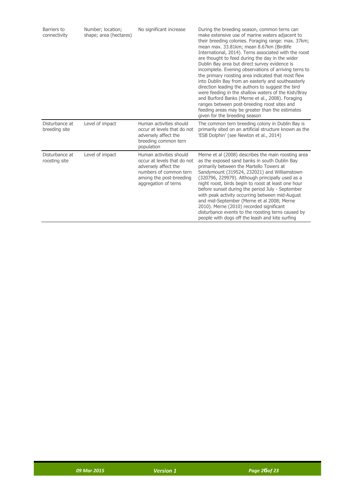| Barriers to<br>connectivity     | Number; location;<br>shape; area (hectares) | No significant increase                                                                                                                                     | During the breeding season, common terns can<br>make extensive use of marine waters adjacent to<br>their breeding colonies. Foraging range: max. 37km;<br>mean max. 33.81km; mean 8.67km (Birdlife<br>International, 2014). Terns associated with the roost<br>are thought to feed during the day in the wider<br>Dublin Bay area but direct survey evidence is<br>incomplete. Evening observations of arriving terns to<br>the primary roosting area indicated that most flew<br>into Dublin Bay from an easterly and southeasterly<br>direction leading the authors to suggest the bird<br>were feeding in the shallow waters of the Kish/Bray<br>and Burford Banks (Merne et al., 2008). Foraging<br>ranges between post-breeding roost sites and<br>feeding areas may be greater than the estimates<br>given for the breeding season |
|---------------------------------|---------------------------------------------|-------------------------------------------------------------------------------------------------------------------------------------------------------------|------------------------------------------------------------------------------------------------------------------------------------------------------------------------------------------------------------------------------------------------------------------------------------------------------------------------------------------------------------------------------------------------------------------------------------------------------------------------------------------------------------------------------------------------------------------------------------------------------------------------------------------------------------------------------------------------------------------------------------------------------------------------------------------------------------------------------------------|
| Disturbance at<br>breeding site | Level of impact                             | Human activities should<br>occur at levels that do not<br>adversely affect the<br>breeding common tern<br>population                                        | The common tern breeding colony in Dublin Bay is<br>primarily sited on an artificial structure known as the<br>'ESB Dolphin' (see Newton et al., 2014)                                                                                                                                                                                                                                                                                                                                                                                                                                                                                                                                                                                                                                                                                   |
| Disturbance at<br>roosting site | Level of impact                             | Human activities should<br>occur at levels that do not<br>adversely affect the<br>numbers of common tern<br>among the post-breeding<br>aggregation of terns | Merne et al (2008) describes the main roosting area<br>as the exposed sand banks in south Dublin Bay<br>primarily between the Martello Towers at<br>Sandymount (319524, 232021) and Williamstown<br>(320796, 229979). Although principally used as a<br>night roost, birds begin to roost at least one hour<br>before sunset during the period July - September<br>with peak activity occurring between mid-August<br>and mid-September (Merne et al 2008; Merne<br>2010). Merne (2010) recorded significant<br>disturbance events to the roosting terns caused by<br>people with dogs off the leash and kite surfing                                                                                                                                                                                                                    |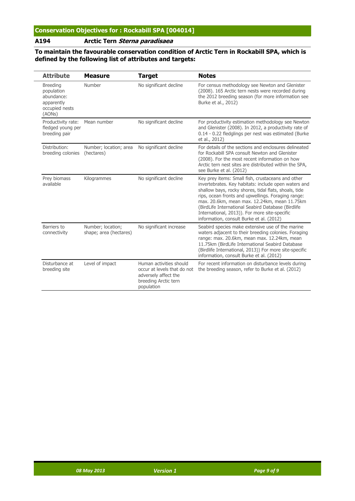#### **A194 Arctic Tern Sterna paradisaea**

#### **To maintain the favourable conservation condition of Arctic Tern in Rockabill SPA, which is defined by the following list of attributes and targets:**

| <b>Attribute</b>                                                                      | <b>Measure</b>                              | <b>Target</b>                                                                                                        | <b>Notes</b>                                                                                                                                                                                                                                                                                                                                                                                                                |
|---------------------------------------------------------------------------------------|---------------------------------------------|----------------------------------------------------------------------------------------------------------------------|-----------------------------------------------------------------------------------------------------------------------------------------------------------------------------------------------------------------------------------------------------------------------------------------------------------------------------------------------------------------------------------------------------------------------------|
| <b>Breeding</b><br>population<br>abundance:<br>apparently<br>occupied nests<br>(AONs) | Number                                      | No significant decline                                                                                               | For census methodology see Newton and Glenister<br>(2008). 165 Arctic tern nests were recorded during<br>the 2012 breeding season (for more information see<br>Burke et al., 2012)                                                                                                                                                                                                                                          |
| Productivity rate:<br>fledged young per<br>breeding pair                              | Mean number                                 | No significant decline                                                                                               | For productivity estimation methodology see Newton<br>and Glenister (2008). In 2012, a productivity rate of<br>0.14 - 0.22 fledglings per nest was estimated (Burke<br>et al., 2012)                                                                                                                                                                                                                                        |
| Distribution:<br>breeding colonies                                                    | Number; location; area<br>(hectares)        | No significant decline                                                                                               | For details of the sections and enclosures delineated<br>for Rockabill SPA consult Newton and Glenister<br>(2008). For the most recent information on how<br>Arctic tern nest sites are distributed within the SPA,<br>see Burke et al. (2012)                                                                                                                                                                              |
| Prey biomass<br>available                                                             | Kilogrammes                                 | No significant decline                                                                                               | Key prey items: Small fish, crustaceans and other<br>invertebrates. Key habitats: include open waters and<br>shallow bays, rocky shores, tidal flats, shoals, tide<br>rips, ocean fronts and upwellings. Foraging range:<br>max. 20.6km, mean max. 12.24km, mean 11.75km<br>(BirdLife International Seabird Database (Birdlife<br>International, 2013)). For more site-specific<br>information, consult Burke et al. (2012) |
| Barriers to<br>connectivity                                                           | Number; location;<br>shape; area (hectares) | No significant increase                                                                                              | Seabird species make extensive use of the marine<br>waters adjacent to their breeding colonies. Foraging<br>range: max. 20.6km, mean max. 12.24km, mean<br>11.75km (BirdLife International Seabird Database<br>(Birdlife International, 2013)) For more site-specific<br>information, consult Burke et al. (2012)                                                                                                           |
| Disturbance at<br>breeding site                                                       | Level of impact                             | Human activities should<br>occur at levels that do not<br>adversely affect the<br>breeding Arctic tern<br>population | For recent information on disturbance levels during<br>the breeding season, refer to Burke et al. (2012)                                                                                                                                                                                                                                                                                                                    |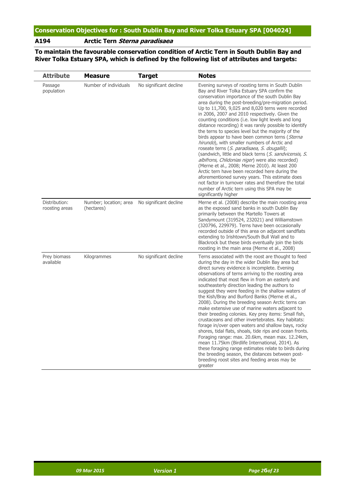#### **A194 Arctic Tern Sterna paradisaea**

**To maintain the favourable conservation condition of Arctic Tern in South Dublin Bay and River Tolka Estuary SPA, which is defined by the following list of attributes and targets:**

| <b>Attribute</b>                | <b>Measure</b>                       | <b>Target</b>          | <b>Notes</b>                                                                                                                                                                                                                                                                                                                                                                                                                                                                                                                                                                                                                                                                                                                                                                                                                                                                                                                                                                                                                                         |
|---------------------------------|--------------------------------------|------------------------|------------------------------------------------------------------------------------------------------------------------------------------------------------------------------------------------------------------------------------------------------------------------------------------------------------------------------------------------------------------------------------------------------------------------------------------------------------------------------------------------------------------------------------------------------------------------------------------------------------------------------------------------------------------------------------------------------------------------------------------------------------------------------------------------------------------------------------------------------------------------------------------------------------------------------------------------------------------------------------------------------------------------------------------------------|
| Passage<br>population           | Number of individuals                | No significant decline | Evening surveys of roosting terns in South Dublin<br>Bay and River Tolka Estuary SPA confirm the<br>conservation importance of the south Dublin Bay<br>area during the post-breeding/pre-migration period.<br>Up to 11,700, 9,025 and 8,020 terns were recorded<br>in 2006, 2007 and 2010 respectively. Given the<br>counting conditions (i.e. low light levels and long<br>distance recording) it was rarely possible to identify<br>the terns to species level but the majority of the<br>birds appear to have been common terns (Sterna<br>hirundo), with smaller numbers of Arctic and<br>roseate terns (S. paradisaea, S. dougallii);<br>(sandwich, little and black terns (S. sandvicensis, S.<br>albifrons, Chlidonias niger) were also recorded)<br>(Merne et al., 2008; Merne 2010). At least 200<br>Arctic tern have been recorded here during the<br>aforementioned survey years. This estimate does<br>not factor in turnover rates and therefore the total<br>number of Arctic tern using this SPA may be<br>significantly higher       |
| Distribution:<br>roosting areas | Number; location; area<br>(hectares) | No significant decline | Merne et al. (2008) describe the main roosting area<br>as the exposed sand banks in south Dublin Bay<br>primarily between the Martello Towers at<br>Sandymount (319524, 232021) and Williamstown<br>(320796, 229979). Terns have been occasionally<br>recorded outside of this area on adjacent sandflats<br>extending to Irishtown/South Bull Wall and to<br>Blackrock but these birds eventually join the birds<br>roosting in the main area (Merne et al., 2008)                                                                                                                                                                                                                                                                                                                                                                                                                                                                                                                                                                                  |
| Prey biomass<br>available       | Kilogrammes                          | No significant decline | Terns associated with the roost are thought to feed<br>during the day in the wider Dublin Bay area but<br>direct survey evidence is incomplete. Evening<br>observations of terns arriving to the roosting area<br>indicated that most flew in from an easterly and<br>southeasterly direction leading the authors to<br>suggest they were feeding in the shallow waters of<br>the Kish/Bray and Burford Banks (Merne et al.,<br>2008). During the breeding season Arctic terns can<br>make extensive use of marine waters adjacent to<br>their breeding colonies. Key prey items: Small fish,<br>crustaceans and other invertebrates. Key habitats:<br>forage in/over open waters and shallow bays, rocky<br>shores, tidal flats, shoals, tide rips and ocean fronts.<br>Foraging range: max. 20.6km, mean max. 12.24km,<br>mean 11.75km (Birdlife International, 2014). As<br>these foraging range estimates relate to birds during<br>the breeding season, the distances between post-<br>breeding roost sites and feeding areas may be<br>greater |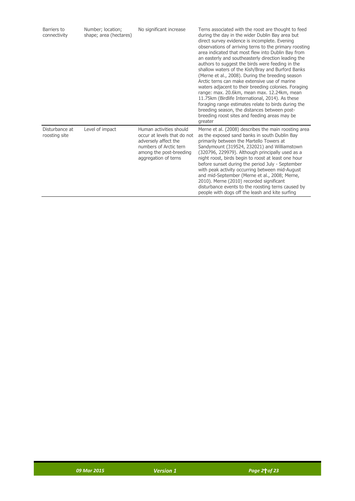| Barriers to<br>connectivity     | Number; location;<br>shape; area (hectares) | No significant increase                                                                                                                                     | Terns associated with the roost are thought to feed<br>during the day in the wider Dublin Bay area but<br>direct survey evidence is incomplete. Evening<br>observations of arriving terns to the primary roosting<br>area indicated that most flew into Dublin Bay from<br>an easterly and southeasterly direction leading the<br>authors to suggest the birds were feeding in the<br>shallow waters of the Kish/Bray and Burford Banks<br>(Merne et al., 2008). During the breeding season<br>Arctic terns can make extensive use of marine<br>waters adjacent to their breeding colonies. Foraging<br>range: max. 20.6km, mean max. 12.24km, mean<br>11.75km (Birdlife International, 2014). As these<br>foraging range estimates relate to birds during the<br>breeding season, the distances between post-<br>breeding roost sites and feeding areas may be<br>greater |
|---------------------------------|---------------------------------------------|-------------------------------------------------------------------------------------------------------------------------------------------------------------|----------------------------------------------------------------------------------------------------------------------------------------------------------------------------------------------------------------------------------------------------------------------------------------------------------------------------------------------------------------------------------------------------------------------------------------------------------------------------------------------------------------------------------------------------------------------------------------------------------------------------------------------------------------------------------------------------------------------------------------------------------------------------------------------------------------------------------------------------------------------------|
| Disturbance at<br>roosting site | Level of impact                             | Human activities should<br>occur at levels that do not<br>adversely affect the<br>numbers of Arctic tern<br>among the post-breeding<br>aggregation of terns | Merne et al. (2008) describes the main roosting area<br>as the exposed sand banks in south Dublin Bay<br>primarily between the Martello Towers at<br>Sandymount (319524, 232021) and Williamstown<br>(320796, 229979). Although principally used as a<br>night roost, birds begin to roost at least one hour<br>before sunset during the period July - September<br>with peak activity occurring between mid-August<br>and mid-September (Merne et al., 2008; Merne,<br>2010). Merne (2010) recorded significant<br>disturbance events to the roosting terns caused by<br>people with dogs off the leash and kite surfing                                                                                                                                                                                                                                                  |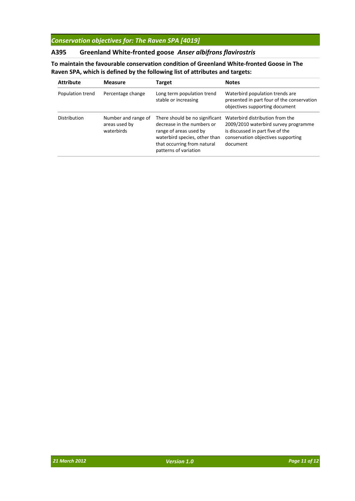## *Conservation objectives for: The Raven SPA [4019]*

## **A395 Greenland White‐fronted goose** *Anser albifrons flavirostris*

**To maintain the favourable conservation condition of Greenland White‐fronted Goose in The Raven SPA, which is defined by the following list of attributes and targets:**

| <b>Attribute</b> | <b>Measure</b>                                     | <b>Target</b>                                                                                                                                                                   | <b>Notes</b>                                                                                                                                                  |
|------------------|----------------------------------------------------|---------------------------------------------------------------------------------------------------------------------------------------------------------------------------------|---------------------------------------------------------------------------------------------------------------------------------------------------------------|
| Population trend | Percentage change                                  | Long term population trend<br>stable or increasing                                                                                                                              | Waterbird population trends are<br>presented in part four of the conservation<br>objectives supporting document                                               |
| Distribution     | Number and range of<br>areas used by<br>waterbirds | There should be no significant<br>decrease in the numbers or<br>range of areas used by<br>waterbird species, other than<br>that occurring from natural<br>patterns of variation | Waterbird distribution from the<br>2009/2010 waterbird survey programme<br>is discussed in part five of the<br>conservation objectives supporting<br>document |